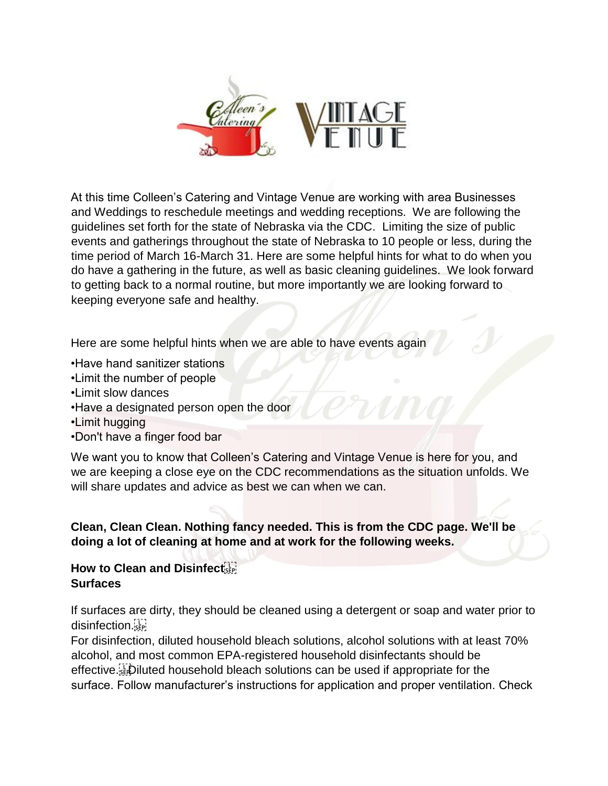

At this time Colleen's Catering and Vintage Venue are working with area Businesses and Weddings to reschedule meetings and wedding receptions. We are following the guidelines set forth for the state of Nebraska via the CDC. Limiting the size of public events and gatherings throughout the state of Nebraska to 10 people or less, during the time period of March 16-March 31. Here are some helpful hints for what to do when you do have a gathering in the future, as well as basic cleaning guidelines. We look forward to getting back to a normal routine, but more importantly we are looking forward to keeping everyone safe and healthy.

Here are some helpful hints when we are able to have events again

- •Have hand sanitizer stations
- •Limit the number of people
- •Limit slow dances
- •Have a designated person open the door
- •Limit hugging
- •Don't have a finger food bar

We want you to know that Colleen's Catering and Vintage Venue is here for you, and we are keeping a close eye on the CDC recommendations as the situation unfolds. We will share updates and advice as best we can when we can.

**Clean, Clean Clean. Nothing fancy needed. This is from the CDC page. We'll be doing a lot of cleaning at home and at work for the following weeks.**

## **How to Clean and Disinfect Surfaces**

If surfaces are dirty, they should be cleaned using a detergent or soap and water prior to disinfection.

For disinfection, diluted household bleach solutions, alcohol solutions with at least 70% alcohol, and most common EPA-registered household disinfectants should be effective. Diluted household bleach solutions can be used if appropriate for the surface. Follow manufacturer's instructions for application and proper ventilation. Check